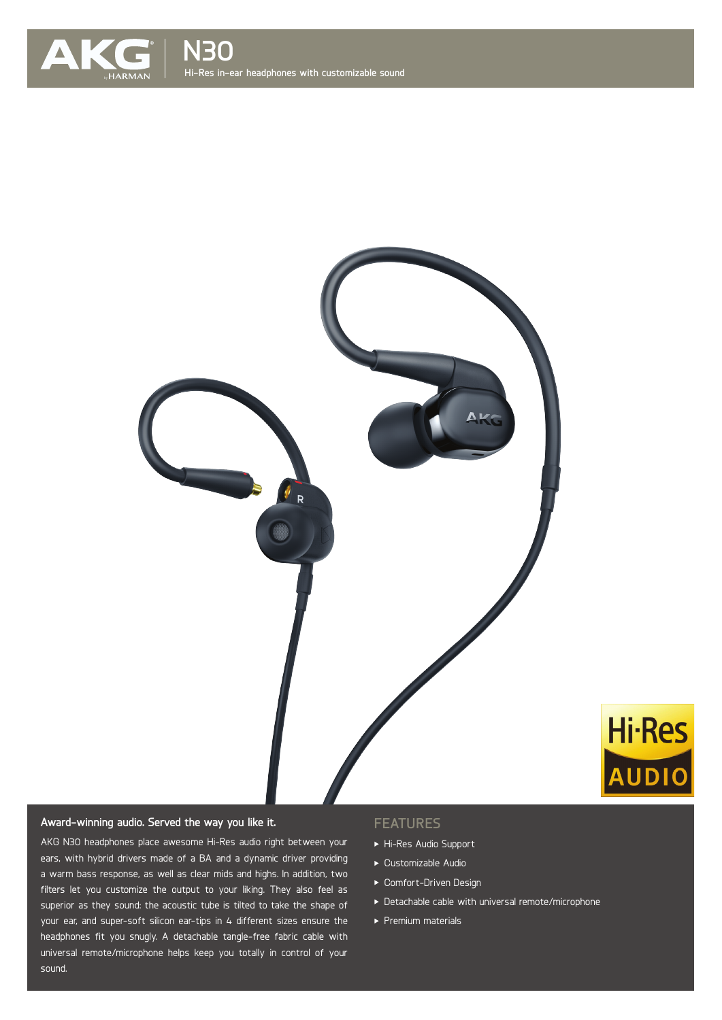



# **Award-winning audio. Served the way you like it.**

AKG N30 headphones place awesome Hi-Res audio right between your ears, with hybrid drivers made of a BA and a dynamic driver providing a warm bass response, as well as clear mids and highs. In addition, two filters let you customize the output to your liking. They also feel as superior as they sound: the acoustic tube is tilted to take the shape of your ear, and super-soft silicon ear-tips in 4 different sizes ensure the  $\overline{\phantom{a}}$ headphones fit you snugly. A detachable tangle-free fabric cable with universal remote/microphone helps keep you totally in control of your sound.

### **FEATURES**

- Hi-Res Audio Support
- Customizable Audio
- Comfort-Driven Design
- Detachable cable with universal remote/microphone

**Hi-Res** 

AUDIO

 $\blacktriangleright$  Premium materials